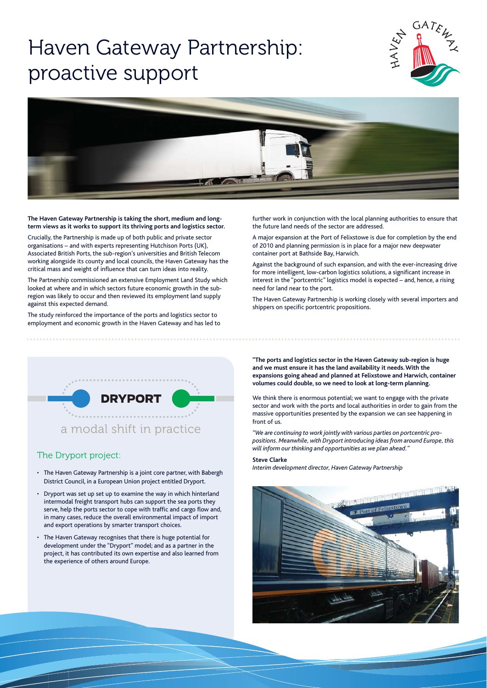# Haven Gateway Partnership: proactive support





**The Haven Gateway Partnership is taking the short, medium and longterm views as it works to support its thriving ports and logistics sector.**

Crucially, the Partnership is made up of both public and private sector organisations – and with experts representing Hutchison Ports (UK), Associated British Ports, the sub-region's universities and British Telecom working alongside its county and local councils, the Haven Gateway has the critical mass and weight of influence that can turn ideas into reality.

The Partnership commissioned an extensive Employment Land Study which looked at where and in which sectors future economic growth in the subregion was likely to occur and then reviewed its employment land supply against this expected demand.

The study reinforced the importance of the ports and logistics sector to employment and economic growth in the Haven Gateway and has led to further work in conjunction with the local planning authorities to ensure that the future land needs of the sector are addressed.

A major expansion at the Port of Felixstowe is due for completion by the end of 2010 and planning permission is in place for a major new deepwater container port at Bathside Bay, Harwich.

Against the background of such expansion, and with the ever-increasing drive for more intelligent, low-carbon logistics solutions, a significant increase in interest in the "portcentric" logistics model is expected – and, hence, a rising need for land near to the port.

The Haven Gateway Partnership is working closely with several importers and shippers on specific portcentric propositions.

**"The ports and logistics sector in the Haven Gateway sub-region is huge and we must ensure it has the land availability it needs. With the expansions going ahead and planned at Felixstowe and Harwich, container volum es could double, so we need to look at long-term planning.** 

We think there is enormous potential; we want to engage with the private sector and work with the ports and local authorities in order to gain from the massive opportunities presented by the expansion we can see happening in front of us.

*"We are continuing to work jointly with various parties on portcentric pro*  positions. Meanwhile, with Dryport introducing ideas from around Europe, this *will inform our thinking and opportunities as we plan ahead."*

### **Steve Clarke**

*Interim development director, Haven Gateway Partnership* 





## The Dryport project:

- The Haven Gateway Partnership is a joint core partner, with Babergh District Council, in a European Union project entitled Dryport.
- Dryport was set up set up to examine the way in which hinterland intermodal freight transport hubs can support the sea ports they serve, help the ports sector to cope with traffic and cargo flow and, in many cases, reduce the overall environmental impact of import and export operations by smarter transport choices.
- The Haven Gateway recognises that there is huge potential for development under the "Dryport" model; and as a partner in the project, it has contributed its own expertise and also learned from the experience of others around Europe.